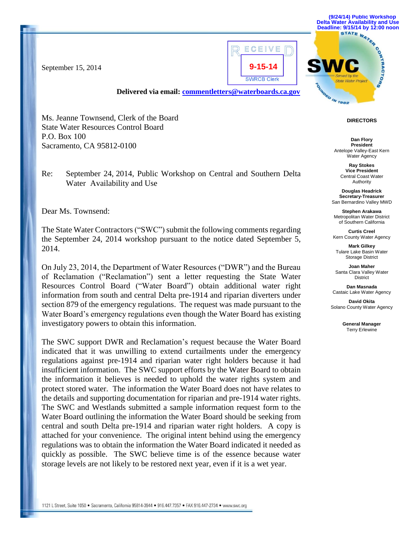

**(9/24/14) Public Workshop Delta Water Availability and Use Deadline: 9/15/14 by 12:00 noon**

September 15, 2014

**Delivered via email: [commentletters@waterboards.ca.gov](mailto:commentletters@waterboards.ca.gov)**

**DIRECTORS**

**MORD IN 1982** 

**Dan Flory President** Antelope Valley-East Kern Water Agency

> **Ray Stokes Vice President** Central Coast Water Authority

**Douglas Headrick Secretary-Treasurer** San Bernardino Valley MWD

**Stephen Arakawa** Metropolitan Water District of Southern California

**Curtis Creel** Kern County Water Agency

**Mark Gilkey** Tulare Lake Basin Water Storage District

**Joan Maher** Santa Clara Valley Water District

**Dan Masnada** Castaic Lake Water Agency

**David Okita** Solano County Water Agency

> **General Manager** Terry Erlewine

Ms. Jeanne Townsend, Clerk of the Board

State Water Resources Control Board P.O. Box 100 Sacramento, CA 95812-0100

Re: September 24, 2014, Public Workshop on Central and Southern Delta Water Availability and Use

Dear Ms. Townsend:

The State Water Contractors ("SWC") submit the following comments regarding the September 24, 2014 workshop pursuant to the notice dated September 5, 2014.

On July 23, 2014, the Department of Water Resources ("DWR") and the Bureau of Reclamation ("Reclamation") sent a letter requesting the State Water Resources Control Board ("Water Board") obtain additional water right information from south and central Delta pre-1914 and riparian diverters under section 879 of the emergency regulations. The request was made pursuant to the Water Board's emergency regulations even though the Water Board has existing investigatory powers to obtain this information.

The SWC support DWR and Reclamation's request because the Water Board indicated that it was unwilling to extend curtailments under the emergency regulations against pre-1914 and riparian water right holders because it had insufficient information. The SWC support efforts by the Water Board to obtain the information it believes is needed to uphold the water rights system and protect stored water. The information the Water Board does not have relates to the details and supporting documentation for riparian and pre-1914 water rights. The SWC and Westlands submitted a sample information request form to the Water Board outlining the information the Water Board should be seeking from central and south Delta pre-1914 and riparian water right holders. A copy is attached for your convenience. The original intent behind using the emergency regulations was to obtain the information the Water Board indicated it needed as quickly as possible. The SWC believe time is of the essence because water storage levels are not likely to be restored next year, even if it is a wet year.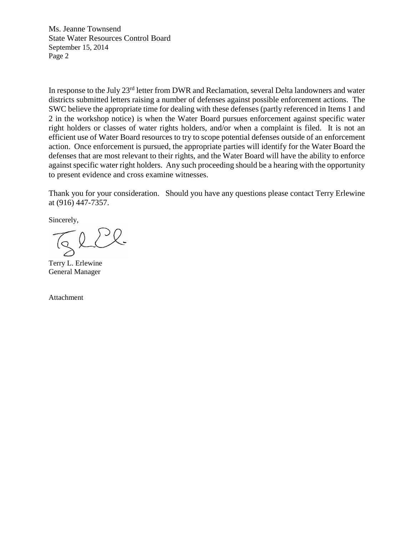Ms. Jeanne Townsend State Water Resources Control Board September 15, 2014 Page 2

In response to the July 23<sup>rd</sup> letter from DWR and Reclamation, several Delta landowners and water districts submitted letters raising a number of defenses against possible enforcement actions. The SWC believe the appropriate time for dealing with these defenses (partly referenced in Items 1 and 2 in the workshop notice) is when the Water Board pursues enforcement against specific water right holders or classes of water rights holders, and/or when a complaint is filed. It is not an efficient use of Water Board resources to try to scope potential defenses outside of an enforcement action. Once enforcement is pursued, the appropriate parties will identify for the Water Board the defenses that are most relevant to their rights, and the Water Board will have the ability to enforce against specific water right holders. Any such proceeding should be a hearing with the opportunity to present evidence and cross examine witnesses.

Thank you for your consideration. Should you have any questions please contact Terry Erlewine at (916) 447-7357.

Sincerely,

Terry L. Erlewine General Manager

Attachment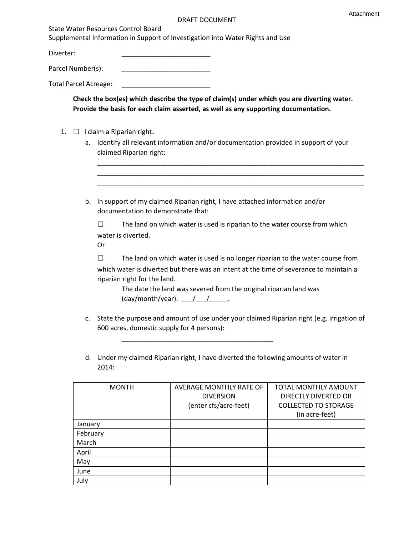State Water Resources Control Board

Supplemental Information in Support of Investigation into Water Rights and Use

Diverter: \_\_\_\_\_\_\_\_\_\_\_\_\_\_\_\_\_\_\_\_\_\_\_\_

Parcel Number(s): \_\_\_\_\_\_\_\_\_\_\_\_\_\_\_\_\_\_\_\_\_\_\_\_

Total Parcel Acreage: \_\_\_\_\_\_\_\_\_\_\_\_\_\_\_\_\_\_\_\_\_\_\_\_

**Check the box(es) which describe the type of claim(s) under which you are diverting water. Provide the basis for each claim asserted, as well as any supporting documentation.**

- 1. □ I claim a Riparian right.
	- a. Identify all relevant information and/or documentation provided in support of your claimed Riparian right:

| b.             | In support of my claimed Riparian right, I have attached information and/or<br>documentation to demonstrate that:                                                                                                                                                                                                                     |  |  |  |
|----------------|---------------------------------------------------------------------------------------------------------------------------------------------------------------------------------------------------------------------------------------------------------------------------------------------------------------------------------------|--|--|--|
|                | The land on which water is used is riparian to the water course from which<br>ΙI<br>water is diverted.<br>Or                                                                                                                                                                                                                          |  |  |  |
|                | The land on which water is used is no longer riparian to the water course from<br>which water is diverted but there was an intent at the time of severance to maintain a<br>riparian right for the land.<br>The date the land was severed from the original riparian land was<br>(day/month/year): $\frac{1}{\sqrt{1-\frac{1}{2}}}$ . |  |  |  |
| $\mathsf{C}$ . | State the purpose and amount of use under your claimed Riparian right (e.g. irrigation of<br>600 acres, domestic supply for 4 persons):                                                                                                                                                                                               |  |  |  |
| d.             | Under my claimed Riparian right, I have diverted the following amounts of water in<br>2014:                                                                                                                                                                                                                                           |  |  |  |

| <b>MONTH</b> | AVERAGE MONTHLY RATE OF | TOTAL MONTHLY AMOUNT        |
|--------------|-------------------------|-----------------------------|
|              | <b>DIVERSION</b>        | DIRECTLY DIVERTED OR        |
|              | (enter cfs/acre-feet)   | <b>COLLECTED TO STORAGE</b> |
|              |                         | (in acre-feet)              |
| January      |                         |                             |
| February     |                         |                             |
| March        |                         |                             |
| April        |                         |                             |
| May          |                         |                             |
| June         |                         |                             |
| July         |                         |                             |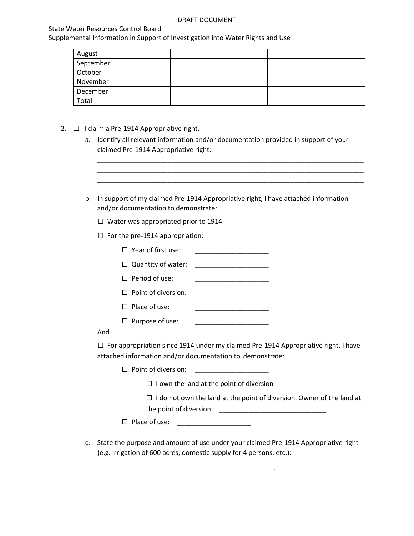## State Water Resources Control Board

Supplemental Information in Support of Investigation into Water Rights and Use

| August    |  |
|-----------|--|
| September |  |
| October   |  |
| November  |  |
| December  |  |
| Total     |  |

- 2.  $\Box$  I claim a Pre-1914 Appropriative right.
	- a. Identify all relevant information and/or documentation provided in support of your claimed Pre-1914 Appropriative right:

\_\_\_\_\_\_\_\_\_\_\_\_\_\_\_\_\_\_\_\_\_\_\_\_\_\_\_\_\_\_\_\_\_\_\_\_\_\_\_\_\_\_\_\_\_\_\_\_\_\_\_\_\_\_\_\_\_\_\_\_\_\_\_\_\_\_\_\_\_\_\_\_ \_\_\_\_\_\_\_\_\_\_\_\_\_\_\_\_\_\_\_\_\_\_\_\_\_\_\_\_\_\_\_\_\_\_\_\_\_\_\_\_\_\_\_\_\_\_\_\_\_\_\_\_\_\_\_\_\_\_\_\_\_\_\_\_\_\_\_\_\_\_\_\_ \_\_\_\_\_\_\_\_\_\_\_\_\_\_\_\_\_\_\_\_\_\_\_\_\_\_\_\_\_\_\_\_\_\_\_\_\_\_\_\_\_\_\_\_\_\_\_\_\_\_\_\_\_\_\_\_\_\_\_\_\_\_\_\_\_\_\_\_\_\_\_\_

- b. In support of my claimed Pre-1914 Appropriative right, I have attached information and/or documentation to demonstrate:
	- $\Box$  Water was appropriated prior to 1914
	- $\Box$  For the pre-1914 appropriation:
		- $\Box$  Year of first use:  $\Box$  Quantity of water:  $\Box$  Period of use: □ Point of diversion: \_\_\_\_\_\_\_\_\_\_\_\_\_\_\_\_\_\_\_\_
		- □ Place of use: \_\_\_\_\_\_\_\_\_\_\_\_\_\_\_\_\_\_\_\_
		- $\Box$  Purpose of use:

# And

 $\square$  For appropriation since 1914 under my claimed Pre-1914 Appropriative right, I have attached information and/or documentation to demonstrate:

 $\Box$  Point of diversion:

 $\Box$  I own the land at the point of diversion

 $\square$  I do not own the land at the point of diversion. Owner of the land at the point of diversion: \_\_\_\_\_\_\_\_\_\_\_\_\_\_\_\_\_\_\_\_\_\_\_\_\_\_\_\_\_

□ Place of use: \_\_\_\_\_\_\_\_\_\_\_\_\_\_\_\_\_\_\_\_

\_\_\_\_\_\_\_\_\_\_\_\_\_\_\_\_\_\_\_\_\_\_\_\_\_\_\_\_\_\_\_\_\_\_\_\_\_\_\_\_\_.

c. State the purpose and amount of use under your claimed Pre-1914 Appropriative right (e.g. irrigation of 600 acres, domestic supply for 4 persons, etc.):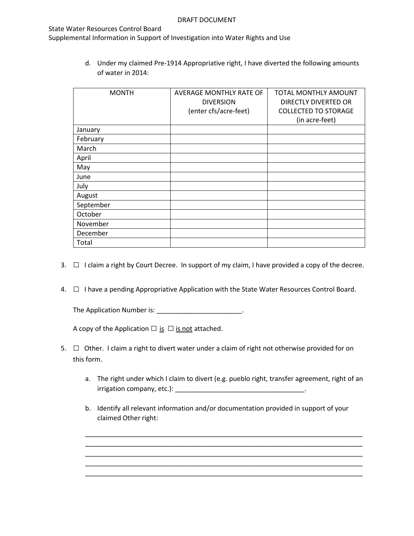## State Water Resources Control Board

Supplemental Information in Support of Investigation into Water Rights and Use

d. Under my claimed Pre-1914 Appropriative right, I have diverted the following amounts of water in 2014:

| <b>MONTH</b> | AVERAGE MONTHLY RATE OF | TOTAL MONTHLY AMOUNT        |
|--------------|-------------------------|-----------------------------|
|              | <b>DIVERSION</b>        | DIRECTLY DIVERTED OR        |
|              | (enter cfs/acre-feet)   | <b>COLLECTED TO STORAGE</b> |
|              |                         | (in acre-feet)              |
| January      |                         |                             |
| February     |                         |                             |
| March        |                         |                             |
| April        |                         |                             |
| May          |                         |                             |
| June         |                         |                             |
| July         |                         |                             |
| August       |                         |                             |
| September    |                         |                             |
| October      |                         |                             |
| November     |                         |                             |
| December     |                         |                             |
| Total        |                         |                             |

- 3.  $\Box$  I claim a right by Court Decree. In support of my claim, I have provided a copy of the decree.
- 4. □ I have a pending Appropriative Application with the State Water Resources Control Board.

The Application Number is: \_\_\_\_\_\_\_\_\_\_\_\_\_\_\_\_\_\_\_\_\_\_\_\_\_\_.

A copy of the Application  $\Box$  is  $\Box$  is not attached.

- 5. □ Other. I claim a right to divert water under a claim of right not otherwise provided for on this form.
	- a. The right under which I claim to divert (e.g. pueblo right, transfer agreement, right of an irrigation company, etc.): \_\_\_\_\_\_\_\_\_\_\_\_\_\_\_\_\_\_\_\_\_\_\_\_\_\_\_\_\_\_\_\_\_\_\_.

\_\_\_\_\_\_\_\_\_\_\_\_\_\_\_\_\_\_\_\_\_\_\_\_\_\_\_\_\_\_\_\_\_\_\_\_\_\_\_\_\_\_\_\_\_\_\_\_\_\_\_\_\_\_\_\_\_\_\_\_\_\_\_\_\_\_\_\_\_\_\_\_\_\_\_ \_\_\_\_\_\_\_\_\_\_\_\_\_\_\_\_\_\_\_\_\_\_\_\_\_\_\_\_\_\_\_\_\_\_\_\_\_\_\_\_\_\_\_\_\_\_\_\_\_\_\_\_\_\_\_\_\_\_\_\_\_\_\_\_\_\_\_\_\_\_\_\_\_\_\_ \_\_\_\_\_\_\_\_\_\_\_\_\_\_\_\_\_\_\_\_\_\_\_\_\_\_\_\_\_\_\_\_\_\_\_\_\_\_\_\_\_\_\_\_\_\_\_\_\_\_\_\_\_\_\_\_\_\_\_\_\_\_\_\_\_\_\_\_\_\_\_\_\_\_\_ \_\_\_\_\_\_\_\_\_\_\_\_\_\_\_\_\_\_\_\_\_\_\_\_\_\_\_\_\_\_\_\_\_\_\_\_\_\_\_\_\_\_\_\_\_\_\_\_\_\_\_\_\_\_\_\_\_\_\_\_\_\_\_\_\_\_\_\_\_\_\_\_\_\_\_ \_\_\_\_\_\_\_\_\_\_\_\_\_\_\_\_\_\_\_\_\_\_\_\_\_\_\_\_\_\_\_\_\_\_\_\_\_\_\_\_\_\_\_\_\_\_\_\_\_\_\_\_\_\_\_\_\_\_\_\_\_\_\_\_\_\_\_\_\_\_\_\_\_\_\_

b. Identify all relevant information and/or documentation provided in support of your claimed Other right: